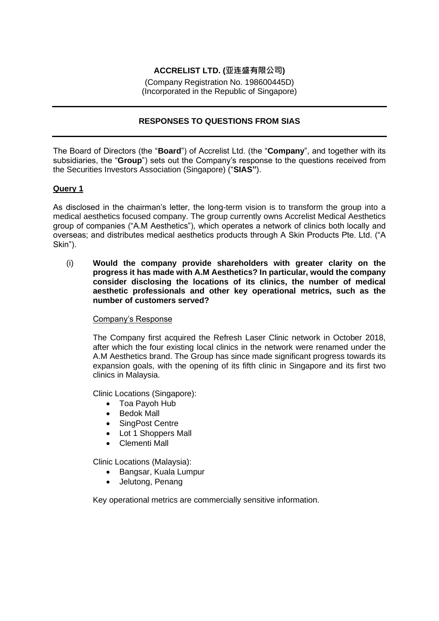# **ACCRELIST LTD. (亚连盛有限公司)**

(Company Registration No. 198600445D) (Incorporated in the Republic of Singapore)

# **RESPONSES TO QUESTIONS FROM SIAS**

The Board of Directors (the "**Board**") of Accrelist Ltd. (the "**Company**", and together with its subsidiaries, the "**Group**") sets out the Company's response to the questions received from the Securities Investors Association (Singapore) ("**SIAS"**).

# **Query 1**

As disclosed in the chairman's letter, the long-term vision is to transform the group into a medical aesthetics focused company. The group currently owns Accrelist Medical Aesthetics group of companies ("A.M Aesthetics"), which operates a network of clinics both locally and overseas; and distributes medical aesthetics products through A Skin Products Pte. Ltd. ("A Skin").

(i) **Would the company provide shareholders with greater clarity on the progress it has made with A.M Aesthetics? In particular, would the company consider disclosing the locations of its clinics, the number of medical aesthetic professionals and other key operational metrics, such as the number of customers served?**

#### Company's Response

The Company first acquired the Refresh Laser Clinic network in October 2018, after which the four existing local clinics in the network were renamed under the A.M Aesthetics brand. The Group has since made significant progress towards its expansion goals, with the opening of its fifth clinic in Singapore and its first two clinics in Malaysia.

Clinic Locations (Singapore):

- Toa Payoh Hub
- Bedok Mall
- SingPost Centre
- Lot 1 Shoppers Mall
- Clementi Mall

Clinic Locations (Malaysia):

- Bangsar, Kuala Lumpur
- Jelutong, Penang

Key operational metrics are commercially sensitive information.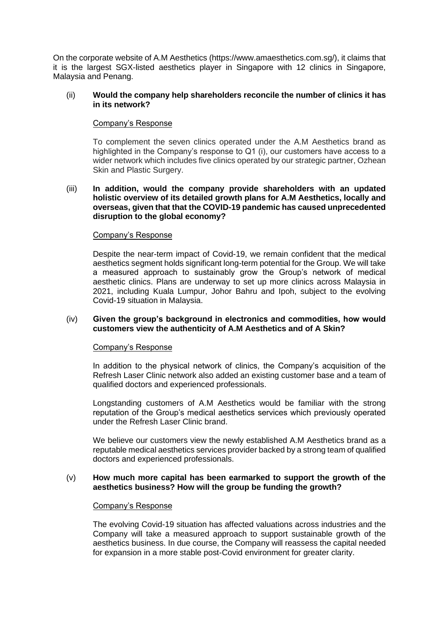On the corporate website of A.M Aesthetics (https://www.amaesthetics.com.sg/), it claims that it is the largest SGX-listed aesthetics player in Singapore with 12 clinics in Singapore, Malaysia and Penang.

### (ii) **Would the company help shareholders reconcile the number of clinics it has in its network?**

# Company's Response

To complement the seven clinics operated under the A.M Aesthetics brand as highlighted in the Company's response to Q1 (i), our customers have access to a wider network which includes five clinics operated by our strategic partner, Ozhean Skin and Plastic Surgery.

# (iii) **In addition, would the company provide shareholders with an updated holistic overview of its detailed growth plans for A.M Aesthetics, locally and overseas, given that that the COVID-19 pandemic has caused unprecedented disruption to the global economy?**

# Company's Response

Despite the near-term impact of Covid-19, we remain confident that the medical aesthetics segment holds significant long-term potential for the Group. We will take a measured approach to sustainably grow the Group's network of medical aesthetic clinics. Plans are underway to set up more clinics across Malaysia in 2021, including Kuala Lumpur, Johor Bahru and Ipoh, subject to the evolving Covid-19 situation in Malaysia.

# (iv) **Given the group's background in electronics and commodities, how would customers view the authenticity of A.M Aesthetics and of A Skin?**

#### Company's Response

In addition to the physical network of clinics, the Company's acquisition of the Refresh Laser Clinic network also added an existing customer base and a team of qualified doctors and experienced professionals.

Longstanding customers of A.M Aesthetics would be familiar with the strong reputation of the Group's medical aesthetics services which previously operated under the Refresh Laser Clinic brand.

We believe our customers view the newly established A.M Aesthetics brand as a reputable medical aesthetics services provider backed by a strong team of qualified doctors and experienced professionals.

#### (v) **How much more capital has been earmarked to support the growth of the aesthetics business? How will the group be funding the growth?**

#### Company's Response

The evolving Covid-19 situation has affected valuations across industries and the Company will take a measured approach to support sustainable growth of the aesthetics business. In due course, the Company will reassess the capital needed for expansion in a more stable post-Covid environment for greater clarity.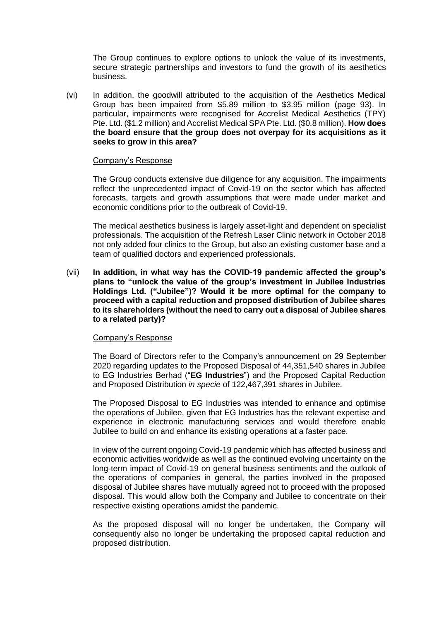The Group continues to explore options to unlock the value of its investments, secure strategic partnerships and investors to fund the growth of its aesthetics business.

(vi) In addition, the goodwill attributed to the acquisition of the Aesthetics Medical Group has been impaired from \$5.89 million to \$3.95 million (page 93). In particular, impairments were recognised for Accrelist Medical Aesthetics (TPY) Pte. Ltd. (\$1.2 million) and Accrelist Medical SPA Pte. Ltd. (\$0.8 million). **How does the board ensure that the group does not overpay for its acquisitions as it seeks to grow in this area?**

#### Company's Response

The Group conducts extensive due diligence for any acquisition. The impairments reflect the unprecedented impact of Covid-19 on the sector which has affected forecasts, targets and growth assumptions that were made under market and economic conditions prior to the outbreak of Covid-19.

The medical aesthetics business is largely asset-light and dependent on specialist professionals. The acquisition of the Refresh Laser Clinic network in October 2018 not only added four clinics to the Group, but also an existing customer base and a team of qualified doctors and experienced professionals.

(vii) **In addition, in what way has the COVID-19 pandemic affected the group's plans to "unlock the value of the group's investment in Jubilee Industries Holdings Ltd. ("Jubilee")? Would it be more optimal for the company to proceed with a capital reduction and proposed distribution of Jubilee shares to its shareholders (without the need to carry out a disposal of Jubilee shares to a related party)?**

#### Company's Response

The Board of Directors refer to the Company's announcement on 29 September 2020 regarding updates to the Proposed Disposal of 44,351,540 shares in Jubilee to EG Industries Berhad ("**EG Industries**") and the Proposed Capital Reduction and Proposed Distribution *in specie* of 122,467,391 shares in Jubilee.

The Proposed Disposal to EG Industries was intended to enhance and optimise the operations of Jubilee, given that EG Industries has the relevant expertise and experience in electronic manufacturing services and would therefore enable Jubilee to build on and enhance its existing operations at a faster pace.

In view of the current ongoing Covid-19 pandemic which has affected business and economic activities worldwide as well as the continued evolving uncertainty on the long-term impact of Covid-19 on general business sentiments and the outlook of the operations of companies in general, the parties involved in the proposed disposal of Jubilee shares have mutually agreed not to proceed with the proposed disposal. This would allow both the Company and Jubilee to concentrate on their respective existing operations amidst the pandemic.

As the proposed disposal will no longer be undertaken, the Company will consequently also no longer be undertaking the proposed capital reduction and proposed distribution.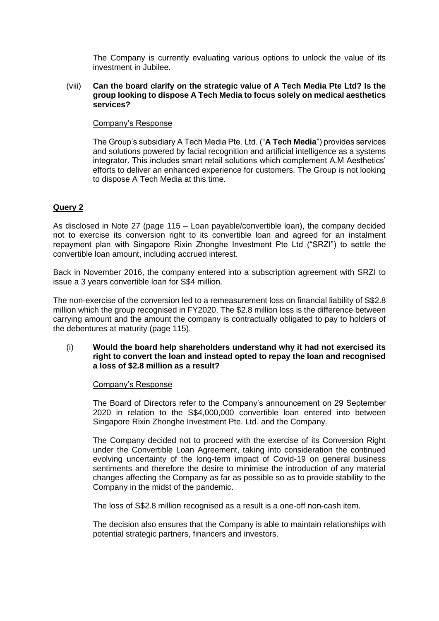The Company is currently evaluating various options to unlock the value of its investment in Jubilee.

### (viii) **Can the board clarify on the strategic value of A Tech Media Pte Ltd? Is the group looking to dispose A Tech Media to focus solely on medical aesthetics services?**

# Company's Response

The Group's subsidiary A Tech Media Pte. Ltd. ("**A Tech Media**") provides services and solutions powered by facial recognition and artificial intelligence as a systems integrator. This includes smart retail solutions which complement A.M Aesthetics' efforts to deliver an enhanced experience for customers. The Group is not looking to dispose A Tech Media at this time.

# **Query 2**

As disclosed in Note 27 (page 115 – Loan payable/convertible loan), the company decided not to exercise its conversion right to its convertible loan and agreed for an instalment repayment plan with Singapore Rixin Zhonghe Investment Pte Ltd ("SRZI") to settle the convertible loan amount, including accrued interest.

Back in November 2016, the company entered into a subscription agreement with SRZI to issue a 3 years convertible loan for S\$4 million.

The non-exercise of the conversion led to a remeasurement loss on financial liability of S\$2.8 million which the group recognised in FY2020. The \$2.8 million loss is the difference between carrying amount and the amount the company is contractually obligated to pay to holders of the debentures at maturity (page 115).

### (i) **Would the board help shareholders understand why it had not exercised its right to convert the loan and instead opted to repay the loan and recognised a loss of \$2.8 million as a result?**

#### Company's Response

The Board of Directors refer to the Company's announcement on 29 September 2020 in relation to the S\$4,000,000 convertible loan entered into between Singapore Rixin Zhonghe Investment Pte. Ltd. and the Company.

The Company decided not to proceed with the exercise of its Conversion Right under the Convertible Loan Agreement, taking into consideration the continued evolving uncertainty of the long-term impact of Covid-19 on general business sentiments and therefore the desire to minimise the introduction of any material changes affecting the Company as far as possible so as to provide stability to the Company in the midst of the pandemic.

The loss of S\$2.8 million recognised as a result is a one-off non-cash item.

The decision also ensures that the Company is able to maintain relationships with potential strategic partners, financers and investors.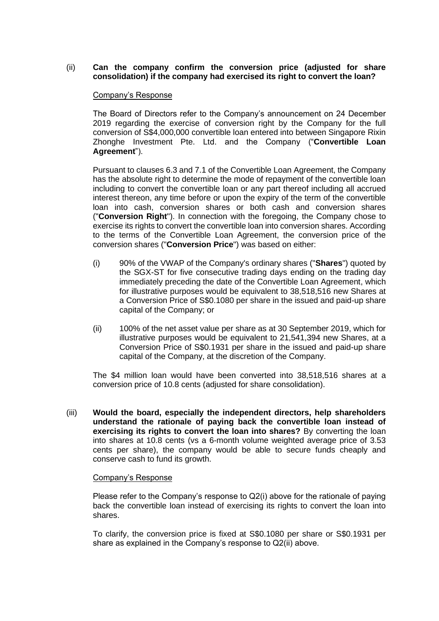# (ii) **Can the company confirm the conversion price (adjusted for share consolidation) if the company had exercised its right to convert the loan?**

# Company's Response

The Board of Directors refer to the Company's announcement on 24 December 2019 regarding the exercise of conversion right by the Company for the full conversion of S\$4,000,000 convertible loan entered into between Singapore Rixin Zhonghe Investment Pte. Ltd. and the Company ("**Convertible Loan Agreement**").

Pursuant to clauses 6.3 and 7.1 of the Convertible Loan Agreement, the Company has the absolute right to determine the mode of repayment of the convertible loan including to convert the convertible loan or any part thereof including all accrued interest thereon, any time before or upon the expiry of the term of the convertible loan into cash, conversion shares or both cash and conversion shares ("**Conversion Right**"). In connection with the foregoing, the Company chose to exercise its rights to convert the convertible loan into conversion shares. According to the terms of the Convertible Loan Agreement, the conversion price of the conversion shares ("**Conversion Price**") was based on either:

- (i) 90% of the VWAP of the Company's ordinary shares ("**Shares**") quoted by the SGX-ST for five consecutive trading days ending on the trading day immediately preceding the date of the Convertible Loan Agreement, which for illustrative purposes would be equivalent to 38,518,516 new Shares at a Conversion Price of S\$0.1080 per share in the issued and paid-up share capital of the Company; or
- (ii) 100% of the net asset value per share as at 30 September 2019, which for illustrative purposes would be equivalent to 21,541,394 new Shares, at a Conversion Price of S\$0.1931 per share in the issued and paid-up share capital of the Company, at the discretion of the Company.

The \$4 million loan would have been converted into 38,518,516 shares at a conversion price of 10.8 cents (adjusted for share consolidation).

(iii) **Would the board, especially the independent directors, help shareholders understand the rationale of paying back the convertible loan instead of exercising its rights to convert the loan into shares?** By converting the loan into shares at 10.8 cents (vs a 6-month volume weighted average price of 3.53 cents per share), the company would be able to secure funds cheaply and conserve cash to fund its growth.

#### Company's Response

Please refer to the Company's response to Q2(i) above for the rationale of paying back the convertible loan instead of exercising its rights to convert the loan into shares.

To clarify, the conversion price is fixed at S\$0.1080 per share or S\$0.1931 per share as explained in the Company's response to Q2(ii) above.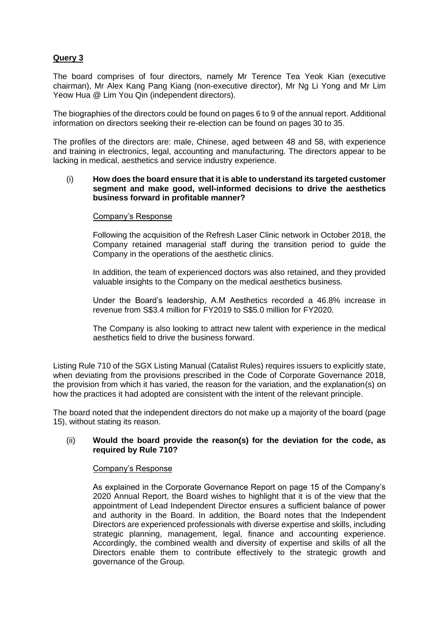# **Query 3**

The board comprises of four directors, namely Mr Terence Tea Yeok Kian (executive chairman), Mr Alex Kang Pang Kiang (non-executive director), Mr Ng Li Yong and Mr Lim Yeow Hua @ Lim You Qin (independent directors).

The biographies of the directors could be found on pages 6 to 9 of the annual report. Additional information on directors seeking their re-election can be found on pages 30 to 35.

The profiles of the directors are: male, Chinese, aged between 48 and 58, with experience and training in electronics, legal, accounting and manufacturing. The directors appear to be lacking in medical, aesthetics and service industry experience.

### (i) **How does the board ensure that it is able to understand its targeted customer segment and make good, well-informed decisions to drive the aesthetics business forward in profitable manner?**

#### Company's Response

Following the acquisition of the Refresh Laser Clinic network in October 2018, the Company retained managerial staff during the transition period to guide the Company in the operations of the aesthetic clinics.

In addition, the team of experienced doctors was also retained, and they provided valuable insights to the Company on the medical aesthetics business.

Under the Board's leadership, A.M Aesthetics recorded a 46.8% increase in revenue from S\$3.4 million for FY2019 to S\$5.0 million for FY2020.

The Company is also looking to attract new talent with experience in the medical aesthetics field to drive the business forward.

Listing Rule 710 of the SGX Listing Manual (Catalist Rules) requires issuers to explicitly state, when deviating from the provisions prescribed in the Code of Corporate Governance 2018, the provision from which it has varied, the reason for the variation, and the explanation(s) on how the practices it had adopted are consistent with the intent of the relevant principle.

The board noted that the independent directors do not make up a majority of the board (page 15), without stating its reason.

#### (ii) **Would the board provide the reason(s) for the deviation for the code, as required by Rule 710?**

#### Company's Response

As explained in the Corporate Governance Report on page 15 of the Company's 2020 Annual Report, the Board wishes to highlight that it is of the view that the appointment of Lead Independent Director ensures a sufficient balance of power and authority in the Board. In addition, the Board notes that the Independent Directors are experienced professionals with diverse expertise and skills, including strategic planning, management, legal, finance and accounting experience. Accordingly, the combined wealth and diversity of expertise and skills of all the Directors enable them to contribute effectively to the strategic growth and governance of the Group.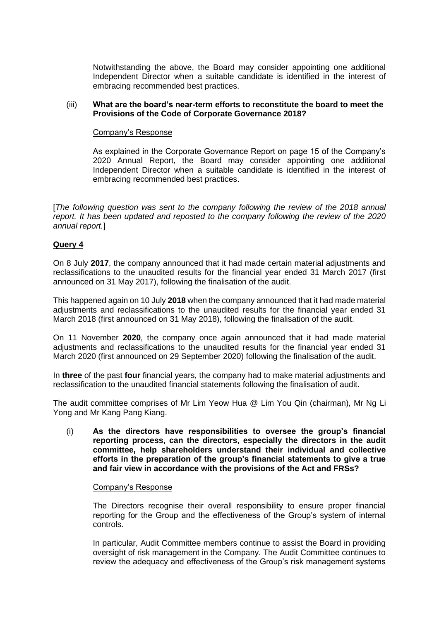Notwithstanding the above, the Board may consider appointing one additional Independent Director when a suitable candidate is identified in the interest of embracing recommended best practices.

### (iii) **What are the board's near-term efforts to reconstitute the board to meet the Provisions of the Code of Corporate Governance 2018?**

### Company's Response

As explained in the Corporate Governance Report on page 15 of the Company's 2020 Annual Report, the Board may consider appointing one additional Independent Director when a suitable candidate is identified in the interest of embracing recommended best practices.

[*The following question was sent to the company following the review of the 2018 annual report. It has been updated and reposted to the company following the review of the 2020 annual report.*]

# **Query 4**

On 8 July **2017**, the company announced that it had made certain material adjustments and reclassifications to the unaudited results for the financial year ended 31 March 2017 (first announced on 31 May 2017), following the finalisation of the audit.

This happened again on 10 July **2018** when the company announced that it had made material adjustments and reclassifications to the unaudited results for the financial year ended 31 March 2018 (first announced on 31 May 2018), following the finalisation of the audit.

On 11 November **2020**, the company once again announced that it had made material adjustments and reclassifications to the unaudited results for the financial year ended 31 March 2020 (first announced on 29 September 2020) following the finalisation of the audit.

In **three** of the past **four** financial years, the company had to make material adjustments and reclassification to the unaudited financial statements following the finalisation of audit.

The audit committee comprises of Mr Lim Yeow Hua @ Lim You Qin (chairman), Mr Ng Li Yong and Mr Kang Pang Kiang.

(i) **As the directors have responsibilities to oversee the group's financial reporting process, can the directors, especially the directors in the audit committee, help shareholders understand their individual and collective efforts in the preparation of the group's financial statements to give a true and fair view in accordance with the provisions of the Act and FRSs?**

#### Company's Response

The Directors recognise their overall responsibility to ensure proper financial reporting for the Group and the effectiveness of the Group's system of internal controls.

In particular, Audit Committee members continue to assist the Board in providing oversight of risk management in the Company. The Audit Committee continues to review the adequacy and effectiveness of the Group's risk management systems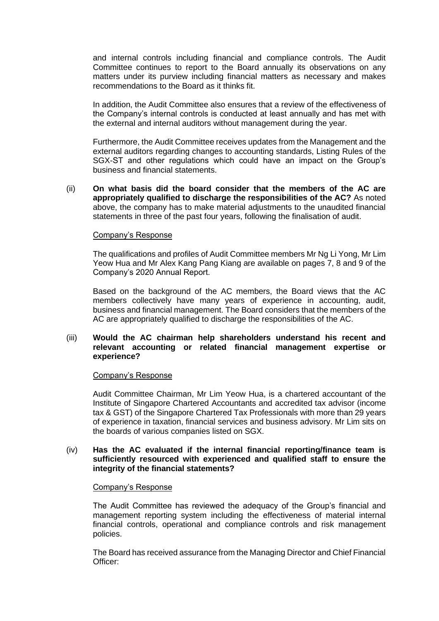and internal controls including financial and compliance controls. The Audit Committee continues to report to the Board annually its observations on any matters under its purview including financial matters as necessary and makes recommendations to the Board as it thinks fit.

In addition, the Audit Committee also ensures that a review of the effectiveness of the Company's internal controls is conducted at least annually and has met with the external and internal auditors without management during the year.

Furthermore, the Audit Committee receives updates from the Management and the external auditors regarding changes to accounting standards, Listing Rules of the SGX-ST and other regulations which could have an impact on the Group's business and financial statements.

(ii) **On what basis did the board consider that the members of the AC are appropriately qualified to discharge the responsibilities of the AC?** As noted above, the company has to make material adjustments to the unaudited financial statements in three of the past four years, following the finalisation of audit.

# Company's Response

The qualifications and profiles of Audit Committee members Mr Ng Li Yong, Mr Lim Yeow Hua and Mr Alex Kang Pang Kiang are available on pages 7, 8 and 9 of the Company's 2020 Annual Report.

Based on the background of the AC members, the Board views that the AC members collectively have many years of experience in accounting, audit, business and financial management. The Board considers that the members of the AC are appropriately qualified to discharge the responsibilities of the AC.

# (iii) **Would the AC chairman help shareholders understand his recent and relevant accounting or related financial management expertise or experience?**

#### Company's Response

Audit Committee Chairman, Mr Lim Yeow Hua, is a chartered accountant of the Institute of Singapore Chartered Accountants and accredited tax advisor (income tax & GST) of the Singapore Chartered Tax Professionals with more than 29 years of experience in taxation, financial services and business advisory. Mr Lim sits on the boards of various companies listed on SGX.

### (iv) **Has the AC evaluated if the internal financial reporting/finance team is sufficiently resourced with experienced and qualified staff to ensure the integrity of the financial statements?**

#### Company's Response

The Audit Committee has reviewed the adequacy of the Group's financial and management reporting system including the effectiveness of material internal financial controls, operational and compliance controls and risk management policies.

The Board has received assurance from the Managing Director and Chief Financial Officer: